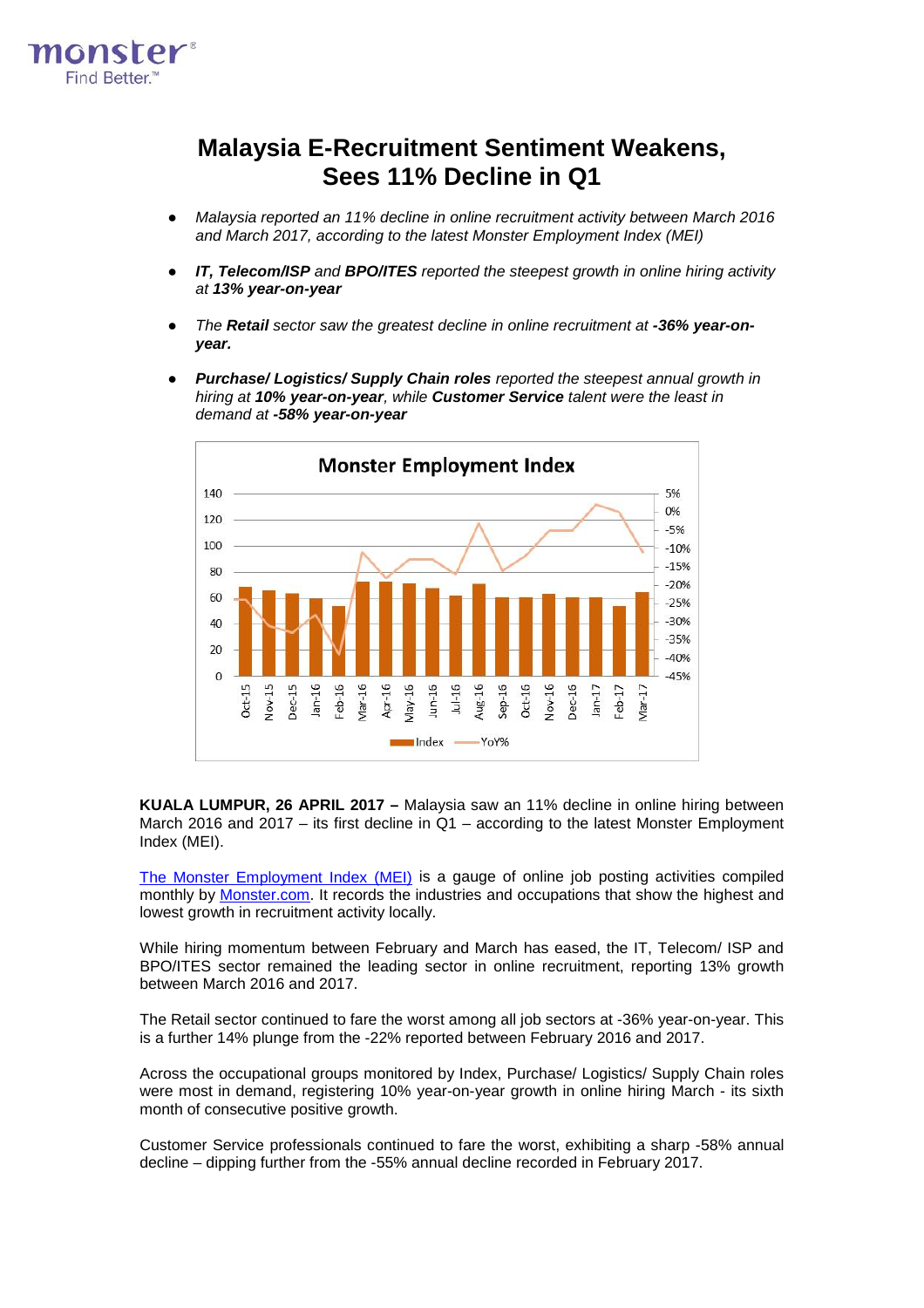

# **Malaysia E-Recruitment Sentiment Weakens, Sees 11% Decline in Q1**

- *Malaysia reported an 11% decline in online recruitment activity between March 2016 and March 2017, according to the latest Monster Employment Index (MEI)*
- *IT, Telecom/ISP and BPO/ITES reported the steepest growth in online hiring activity at 13% year-on-year*
- *The Retail sector saw the greatest decline in online recruitment at -36% year-onyear.*
- *Purchase/ Logistics/ Supply Chain roles reported the steepest annual growth in hiring at 10% year-on-year, while Customer Service talent were the least in demand at -58% year-on-year*



**KUALA LUMPUR, 26 APRIL 2017 –** Malaysia saw an 11% decline in online hiring between March 2016 and 2017 – its first decline in Q1 – according to the latest Monster Employment Index (MEI).

[The Monster Employment Index \(MEI\)](http://www.monster.com.my/employment-index/) is a gauge of online job posting activities compiled monthly by [Monster.com.](http://www.monster.com.my/) It records the industries and occupations that show the highest and lowest growth in recruitment activity locally.

While hiring momentum between February and March has eased, the IT, Telecom/ ISP and BPO/ITES sector remained the leading sector in online recruitment, reporting 13% growth between March 2016 and 2017.

The Retail sector continued to fare the worst among all job sectors at -36% year-on-year. This is a further 14% plunge from the -22% reported between February 2016 and 2017.

Across the occupational groups monitored by Index, Purchase/ Logistics/ Supply Chain roles were most in demand, registering 10% year-on-year growth in online hiring March - its sixth month of consecutive positive growth.

Customer Service professionals continued to fare the worst, exhibiting a sharp -58% annual decline – dipping further from the -55% annual decline recorded in February 2017.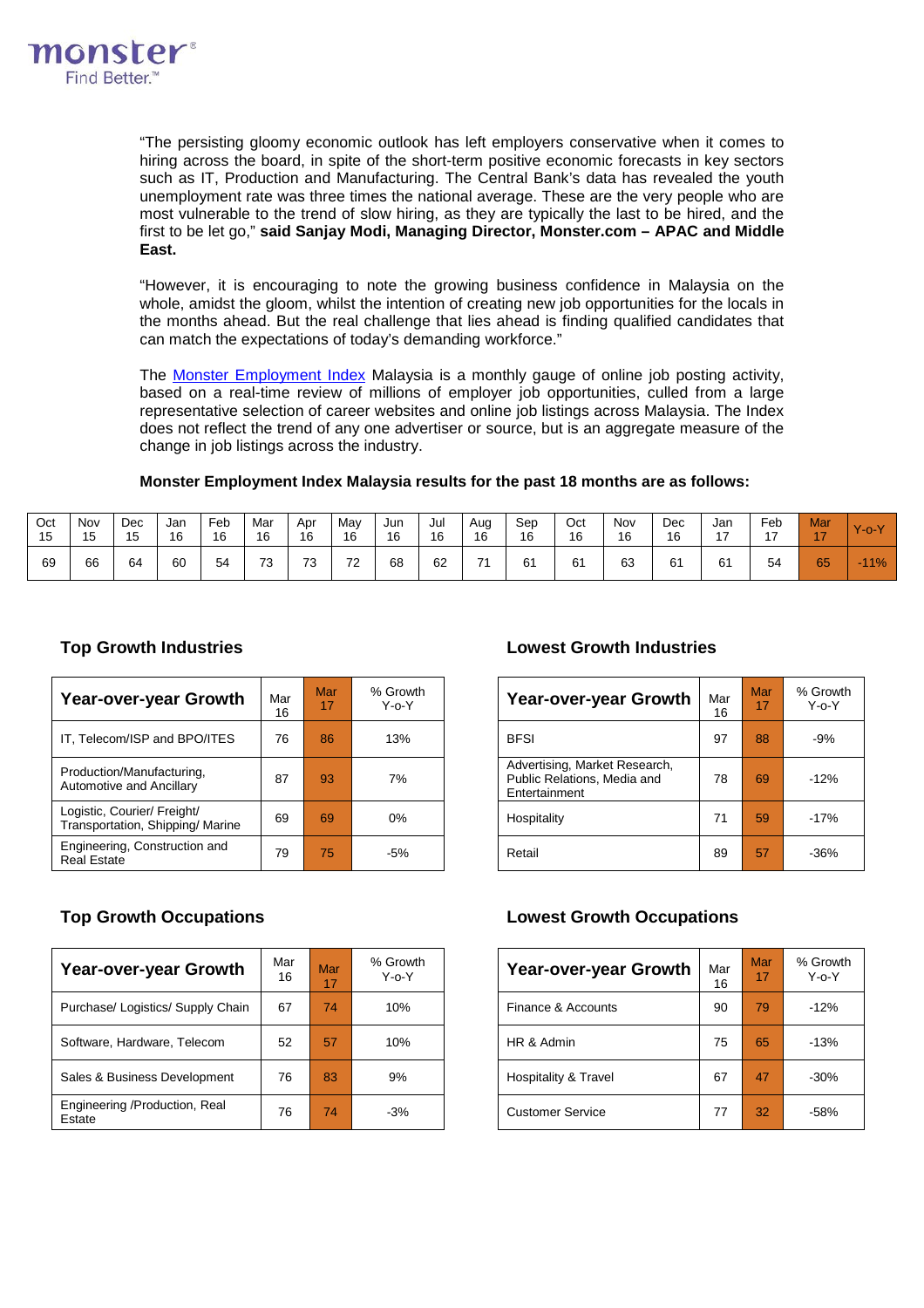

"The persisting gloomy economic outlook has left employers conservative when it comes to hiring across the board, in spite of the short-term positive economic forecasts in key sectors such as IT, Production and Manufacturing. The Central Bank's data has revealed the youth unemployment rate was three times the national average. These are the very people who are most vulnerable to the trend of slow hiring, as they are typically the last to be hired, and the first to be let go," **said Sanjay Modi, Managing Director, Monster.com – APAC and Middle East.**

"However, it is encouraging to note the growing business confidence in Malaysia on the whole, amidst the gloom, whilst the intention of creating new job opportunities for the locals in the months ahead. But the real challenge that lies ahead is finding qualified candidates that can match the expectations of today's demanding workforce."

The [Monster Employment Index](http://www.monster.com.my/employment-index/) Malaysia is a monthly gauge of online job posting activity, based on a real-time review of millions of employer job opportunities, culled from a large representative selection of career websites and online job listings across Malaysia. The Index does not reflect the trend of any one advertiser or source, but is an aggregate measure of the change in job listings across the industry.

## **Monster Employment Index Malaysia results for the past 18 months are as follows:**

| Oct<br>15 | Nov<br>$\overline{ }$<br>כ ו | Dec<br>15 | Jan<br>16 | Feb<br>16 | Mar<br>16 | Apr<br>16 | Mav<br>16      | Jun<br>16 | Jul<br>16 | Aug<br>16 | Sep<br>16 | Oct<br>16 | Nov<br>16 | Dec<br>16 | Jan<br>៱ | Feb<br>$\overline{ }$ | Mar<br>$\rightarrow$ | $Y$ -o- $Y$              |
|-----------|------------------------------|-----------|-----------|-----------|-----------|-----------|----------------|-----------|-----------|-----------|-----------|-----------|-----------|-----------|----------|-----------------------|----------------------|--------------------------|
| 69        | 66                           | 64        | 60        | 54        | 73        | 73        | 72<br><u>_</u> | 68        | 62        | 74        | 61        | 61        | 63        | 61        | 61       | 54                    | 65                   | $11\%$<br><b>Service</b> |

| Year-over-year Growth                                          | Mar<br>16 | Mar<br>17 | % Growth<br>$Y - 0 - Y$ | Year-over-year Growth                                                         | Mar<br>16 | Mar<br>17 | % Grov<br>$Y-0-Y$ |
|----------------------------------------------------------------|-----------|-----------|-------------------------|-------------------------------------------------------------------------------|-----------|-----------|-------------------|
| IT, Telecom/ISP and BPO/ITES                                   | 76        | 86        | 13%                     | <b>BFSI</b>                                                                   | 97        | 88        | $-9%$             |
| Production/Manufacturing,<br>Automotive and Ancillary          | 87        | 93        | 7%                      | Advertising, Market Research,<br>Public Relations, Media and<br>Entertainment | 78        | 69        | $-12%$            |
| Logistic, Courier/ Freight/<br>Transportation, Shipping/Marine | 69        | 69        | $0\%$                   | Hospitality                                                                   | 71        | 59        | $-17%$            |
| Engineering, Construction and<br><b>Real Estate</b>            | 79        | 75        | $-5%$                   | Retail                                                                        | 89        | 57        | $-36%$            |

## **Top Growth Industries Lowest Growth Industries**

| Growth<br>Y-o-Y | Year-over-year Growth                                                         | Mar<br>16 | Mar<br>17 | % Growth<br>Y o Y |
|-----------------|-------------------------------------------------------------------------------|-----------|-----------|-------------------|
| 13%             | <b>BFSI</b>                                                                   | 97        | 88        | $-9%$             |
| 7%              | Advertising, Market Research,<br>Public Relations, Media and<br>Entertainment | 78        | 69        | $-12%$            |
| 0%              | Hospitality                                                                   | 71        | 59        | $-17%$            |
| $-5%$           | Retail                                                                        | 89        | 57        | $-36%$            |

| <b>Year-over-year Growth</b>            | Mar<br>16 | Mar<br>17 | % Growth<br>$Y - 0 - Y$ | Year-over-year Growth           | Mar<br>16 | Mar<br>17 | % Grov<br>$Y - 0 - Y$ |
|-----------------------------------------|-----------|-----------|-------------------------|---------------------------------|-----------|-----------|-----------------------|
| Purchase/ Logistics/ Supply Chain       | 67        | 74        | 10%                     | Finance & Accounts              | 90        | 79        | $-12%$                |
| Software, Hardware, Telecom             | 52        | 57        | 10%                     | HR & Admin                      | 75        | 65        | $-13%$                |
| Sales & Business Development            | 76        | 83        | 9%                      | <b>Hospitality &amp; Travel</b> | 67        | 47        | $-30%$                |
| Engineering /Production, Real<br>Estate | 76        | 74        | $-3%$                   | <b>Customer Service</b>         | 77        | 32        | $-58%$                |
|                                         |           |           |                         |                                 |           |           |                       |

## **Top Growth Occupations Lowest Growth Occupations**

| Growth<br>Y-o-Y | <b>Year-over-year Growth</b> | Mar<br>16 | Mar<br>17 | % Growth<br>$Y$ -o- $Y$ |
|-----------------|------------------------------|-----------|-----------|-------------------------|
| 10%             | Finance & Accounts           | 90        | 79        | $-12%$                  |
| 10%             | HR & Admin                   | 75        | 65        | $-13%$                  |
| 9%              | Hospitality & Travel         | 67        | 47        | $-30%$                  |
| $-3%$           | <b>Customer Service</b>      | 77        | 32        | $-58%$                  |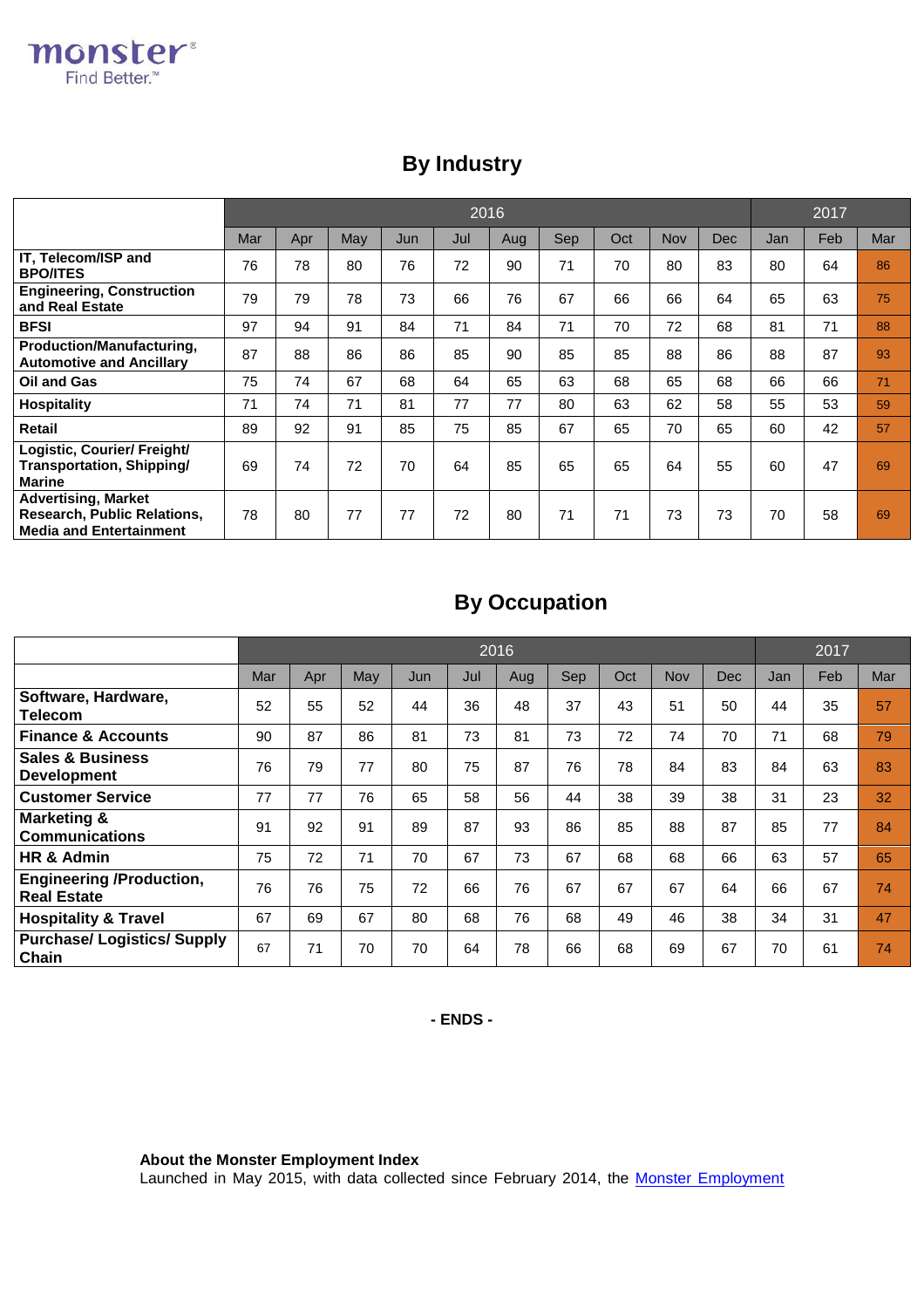|                                                                                             |     | 2016 |     |     |     |     |     |     |     |     | 2017 |     |     |
|---------------------------------------------------------------------------------------------|-----|------|-----|-----|-----|-----|-----|-----|-----|-----|------|-----|-----|
|                                                                                             | Mar | Apr  | May | Jun | Jul | Aug | Sep | Oct | Nov | Dec | Jan  | Feb | Mar |
| IT, Telecom/ISP and<br><b>BPO/ITES</b>                                                      | 76  | 78   | 80  | 76  | 72  | 90  | 71  | 70  | 80  | 83  | 80   | 64  | 86  |
| <b>Engineering, Construction</b><br>and Real Estate                                         | 79  | 79   | 78  | 73  | 66  | 76  | 67  | 66  | 66  | 64  | 65   | 63  | 75  |
| <b>BFSI</b>                                                                                 | 97  | 94   | 91  | 84  | 71  | 84  | 71  | 70  | 72  | 68  | 81   | 71  | 88  |
| <b>Production/Manufacturing,</b><br><b>Automotive and Ancillary</b>                         | 87  | 88   | 86  | 86  | 85  | 90  | 85  | 85  | 88  | 86  | 88   | 87  | 93  |
| Oil and Gas                                                                                 | 75  | 74   | 67  | 68  | 64  | 65  | 63  | 68  | 65  | 68  | 66   | 66  | 71  |
| <b>Hospitality</b>                                                                          | 71  | 74   | 71  | 81  | 77  | 77  | 80  | 63  | 62  | 58  | 55   | 53  | 59  |
| Retail                                                                                      | 89  | 92   | 91  | 85  | 75  | 85  | 67  | 65  | 70  | 65  | 60   | 42  | 57  |
| Logistic, Courier/ Freight/<br>Transportation, Shipping/<br>Marine                          | 69  | 74   | 72  | 70  | 64  | 85  | 65  | 65  | 64  | 55  | 60   | 47  | 69  |
| Advertising, Market<br><b>Research, Public Relations,</b><br><b>Media and Entertainment</b> | 78  | 80   | 77  | 77  | 72  | 80  | 71  | 71  | 73  | 73  | 70   | 58  | 69  |

# **By Industry**

# **By Occupation**

|                                                       | 2016 |     |     |     |     |     |     |     |     |            |     | 2017 |     |  |
|-------------------------------------------------------|------|-----|-----|-----|-----|-----|-----|-----|-----|------------|-----|------|-----|--|
|                                                       | Mar  | Apr | May | Jun | Jul | Aug | Sep | Oct | Nov | <b>Dec</b> | Jan | Feb  | Mar |  |
| Software, Hardware,<br>Telecom                        | 52   | 55  | 52  | 44  | 36  | 48  | 37  | 43  | 51  | 50         | 44  | 35   | 57  |  |
| <b>Finance &amp; Accounts</b>                         | 90   | 87  | 86  | 81  | 73  | 81  | 73  | 72  | 74  | 70         | 71  | 68   | 79  |  |
| <b>Sales &amp; Business</b><br><b>Development</b>     | 76   | 79  | 77  | 80  | 75  | 87  | 76  | 78  | 84  | 83         | 84  | 63   | 83  |  |
| <b>Customer Service</b>                               | 77   | 77  | 76  | 65  | 58  | 56  | 44  | 38  | 39  | 38         | 31  | 23   | 32  |  |
| <b>Marketing &amp;</b><br><b>Communications</b>       | 91   | 92  | 91  | 89  | 87  | 93  | 86  | 85  | 88  | 87         | 85  | 77   | 84  |  |
| HR & Admin                                            | 75   | 72  | 71  | 70  | 67  | 73  | 67  | 68  | 68  | 66         | 63  | 57   | 65  |  |
| <b>Engineering /Production,</b><br><b>Real Estate</b> | 76   | 76  | 75  | 72  | 66  | 76  | 67  | 67  | 67  | 64         | 66  | 67   | 74  |  |
| <b>Hospitality &amp; Travel</b>                       | 67   | 69  | 67  | 80  | 68  | 76  | 68  | 49  | 46  | 38         | 34  | 31   | 47  |  |
| <b>Purchase/Logistics/Supply</b><br>Chain             | 67   | 71  | 70  | 70  | 64  | 78  | 66  | 68  | 69  | 67         | 70  | 61   | 74  |  |

**- ENDS -**

**About the Monster Employment Index**

Launched in May 2015, with data collected since February 2014, the <u>Monster Employment</u>